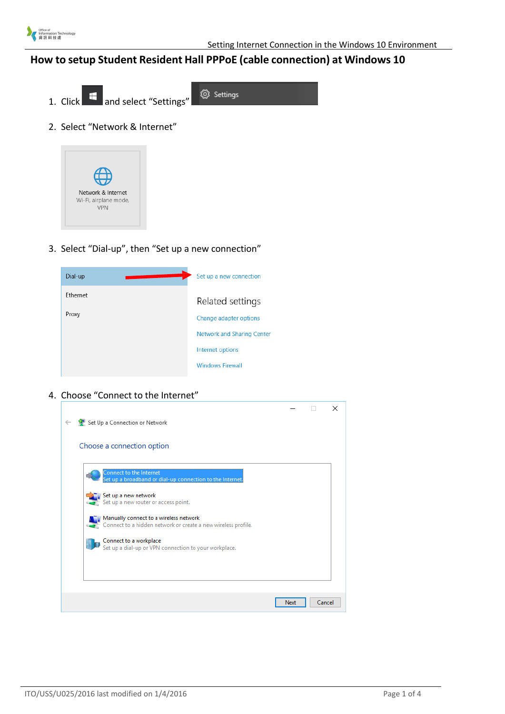

## **How to setup Student Resident Hall PPPoE (cable connection) at Windows 10**

@ Settings 1. Click **and select** "Settings" 2. Select "Network & Internet"



3. Select "Dial-up", then "Set up a new connection"

| Dial-up  | Set up a new connection           |
|----------|-----------------------------------|
| Ethernet | Related settings                  |
| Proxy    | Change adapter options            |
|          | <b>Network and Sharing Center</b> |
|          | Internet options                  |
|          | <b>Windows Firewall</b>           |

4. Choose "Connect to the Internet"

|                                                                                                         |      |        | $\times$ |
|---------------------------------------------------------------------------------------------------------|------|--------|----------|
| ← Connection or Network                                                                                 |      |        |          |
|                                                                                                         |      |        |          |
| Choose a connection option                                                                              |      |        |          |
|                                                                                                         |      |        |          |
| Connect to the Internet<br>Set up a broadband or dial-up connection to the Internet.                    |      |        |          |
| Set up a new network<br>Set up a new router or access point.                                            |      |        |          |
|                                                                                                         |      |        |          |
| Manually connect to a wireless network<br>Connect to a hidden network or create a new wireless profile. |      |        |          |
| Connect to a workplace<br>Set up a dial-up or VPN connection to your workplace.                         |      |        |          |
|                                                                                                         |      |        |          |
|                                                                                                         |      |        |          |
|                                                                                                         | Next | Cancel |          |
|                                                                                                         |      |        |          |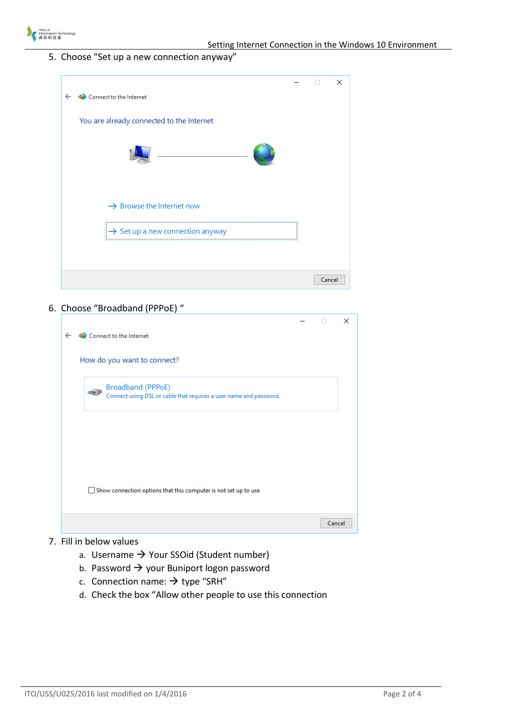

5. Choose "Set up a new connection anyway"

|              |                                              | ×      |
|--------------|----------------------------------------------|--------|
| $\leftarrow$ | Connect to the Internet                      |        |
|              | You are already connected to the Internet    |        |
|              |                                              |        |
|              |                                              |        |
|              | $\rightarrow$ Browse the Internet now        |        |
|              | $\rightarrow$ Set up a new connection anyway |        |
|              |                                              |        |
|              |                                              | Cancel |

## 6. Choose "Broadband (PPPoE) "

|              |                                                                                               |        | $\times$ |
|--------------|-----------------------------------------------------------------------------------------------|--------|----------|
| $\leftarrow$ | Connect to the Internet                                                                       |        |          |
|              | How do you want to connect?                                                                   |        |          |
|              | Broadband (PPPoE)<br>é.<br>Connect using DSL or cable that requires a user name and password. |        |          |
|              |                                                                                               |        |          |
|              |                                                                                               |        |          |
|              | Show connection options that this computer is not set up to use                               |        |          |
|              |                                                                                               | Cancel |          |

## 7. Fill in below values

- a. Username  $\rightarrow$  Your SSOid (Student number)
- b. Password  $\rightarrow$  your Buniport logon password
- c. Connection name:  $\rightarrow$  type "SRH"
- d. Check the box "Allow other people to use this connection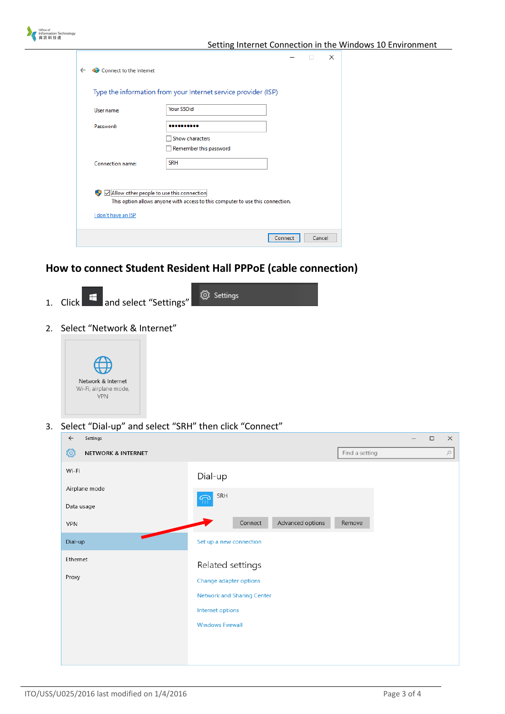| Office of<br>nformation Technology |              |                                                               |                                                                                     |         |        |          | Setting Internet Connection in the Windows 10 Environment |
|------------------------------------|--------------|---------------------------------------------------------------|-------------------------------------------------------------------------------------|---------|--------|----------|-----------------------------------------------------------|
|                                    | $\leftarrow$ | Connect to the Internet                                       |                                                                                     |         | $\Box$ | $\times$ |                                                           |
|                                    |              | User name:                                                    | Type the information from your Internet service provider (ISP)<br><b>Your SSOid</b> |         |        |          |                                                           |
|                                    |              | Password:                                                     | <br>Show characters<br>Remember this password                                       |         |        |          |                                                           |
|                                    |              | Connection name:<br>Allow other people to use this connection | <b>SRH</b>                                                                          |         |        |          |                                                           |
|                                    |              | I don't have an ISP                                           | This option allows anyone with access to this computer to use this connection.      |         |        |          |                                                           |
|                                    |              |                                                               |                                                                                     | Connect | Cancel |          |                                                           |

## **How to connect Student Resident Hall PPPoE (cable connection)**



2. Select "Network & Internet"



3. Select "Dial-up" and select "SRH" then click "Connect"

| $\varphi$ |
|-----------|
|           |
|           |
|           |
|           |
|           |
|           |
|           |
|           |
|           |
|           |
|           |
|           |